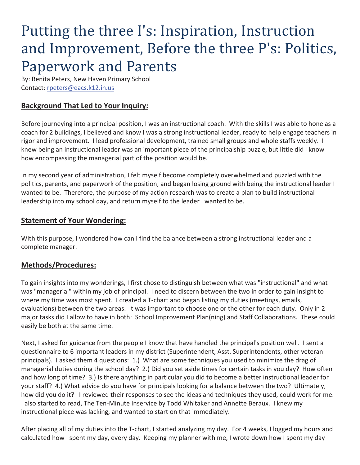# Putting the three I's: Inspiration, Instruction and Improvement, Before the three P's: Politics, Paperwork and Parents

By: Renita Peters, New Haven Primary School Contact: rpeters@eacs.k12.in.us

## **Background That Led to Your Inquiry:**

Before journeying into a principal position, I was an instructional coach. With the skills I was able to hone as a coach for 2 buildings, I believed and know I was a strong instructional leader, ready to help engage teachers in rigor and improvement. I lead professional development, trained small groups and whole staffs weekly. I knew being an instructional leader was an important piece of the principalship puzzle, but little did I know how encompassing the managerial part of the position would be.

In my second year of administration, I felt myself become completely overwhelmed and puzzled with the politics, parents, and paperwork of the position, and began losing ground with being the instructional leader I wanted to be. Therefore, the purpose of my action research was to create a plan to build instructional leadership into my school day, and return myself to the leader I wanted to be.

#### **Statement of Your Wondering:**

With this purpose, I wondered how can I find the balance between a strong instructional leader and a complete manager.

#### **Methods/Procedures:**

To gain insights into my wonderings, I first chose to distinguish between what was "instructional" and what was "managerial" within my job of principal. I need to discern between the two in order to gain insight to where my time was most spent. I created a T-chart and began listing my duties (meetings, emails, evaluations) between the two areas. It was important to choose one or the other for each duty. Only in 2 major tasks did I allow to have in both: School Improvement Plan(ning) and Staff Collaborations. These could easily be both at the same time.

Next, I asked for guidance from the people I know that have handled the principal's position well. I sent a questionnaire to 6 important leaders in my district (Superintendent, Asst. Superintendents, other veteran principals). I asked them 4 questions: 1.) What are some techniques you used to minimize the drag of managerial duties during the school day? 2.) Did you set aside times for certain tasks in you day? How often and how long of time? 3.) Is there anything in particular you did to become a better instructional leader for your staff? 4.) What advice do you have for principals looking for a balance between the two? Ultimately, how did you do it? I reviewed their responses to see the ideas and techniques they used, could work for me. I also started to read, The Ten-Minute Inservice by Todd Whitaker and Annette Beraux. I knew my instructional piece was lacking, and wanted to start on that immediately.

After placing all of my duties into the T-chart, I started analyzing my day. For 4 weeks, I logged my hours and calculated how I spent my day, every day. Keeping my planner with me, I wrote down how I spent my day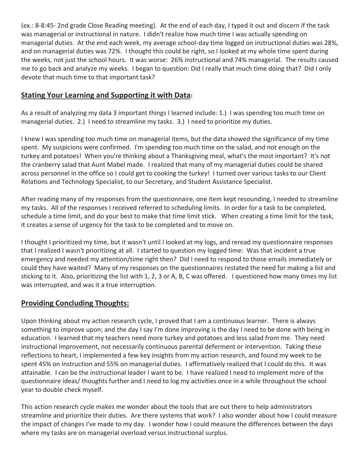(ex.: 8-8:45- 2nd grade Close Reading meeting). At the end of each day, I typed it out and discern if the task was managerial or instructional in nature. I didn't realize how much time I was actually spending on managerial duties. At the end each week, my average school-day time logged on instructional duties was 28%, and on managerial duties was 72%. I thought this could be right, so I looked at my whole time spent during the weeks, not just the school hours. It was worse: 26% instructional and 74% managerial. The results caused me to go back and analyze my weeks. I began to question: Did I really that much time doing that? Did I only devote that much time to that important task?

## **Stating Your Learning and Supporting it with Data:**

As a result of analyzing my data 3 important things I learned include: 1.) I was spending too much time on managerial duties. 2.) I need to streamline my tasks. 3.) I need to prioritize my duties.

I knew I was spending too much time on managerial items, but the data showed the significance of my time spent. My suspicions were confirmed. I'm spending too much time on the salad, and not enough on the turkey and potatoes! When you're thinking about a Thanksgiving meal, what's the most important? It's not the cranberry salad that Aunt Mabel made. I realized that many of my managerial duties could be shared across personnel in the office so I could get to cooking the turkey! I turned over various tasks to our Client Relations and Technology Specialist, to our Secretary, and Student Assistance Specialist.

After reading many of my responses from the questionnaire, one item kept resounding, I needed to streamline my tasks. All of the responses I received referred to scheduling limits. In order for a task to be completed, schedule a time limit, and do your best to make that time limit stick. When creating a time limit for the task, it creates a sense of urgency for the task to be completed and to move on.

I thought I prioritized my time, but it wasn't until I looked at my logs, and reread my questionnaire responses that I realized I wasn't prioritizing at all. I started to question my logged time: Was that incident a true emergency and needed my attention/time right then? Did I need to respond to those emails immediately or could they have waited? Many of my responses on the questionnaires restated the need for making a list and sticking to it. Also, prioritizing the list with 1, 2, 3 or A, B, C was offered. I questioned how many times my list was interrupted, and was it a true interruption.

## **Providing Concluding Thoughts:**

Upon thinking about my action research cycle, I proved that I am a continuous learner. There is always something to improve upon; and the day I say I'm done improving is the day I need to be done with being in education. I learned that my teachers need more turkey and potatoes and less salad from me. They need instructional improvement, not necessarily continuous parental deferment or intervention. Taking these reflections to heart, I implemented a few key insights from my action research, and found my week to be spent 45% on instruction and 55% on managerial duties. I affirmatively realized that I could do this. It was attainable. I can be the instructional leader I want to be. I have realized I need to implement more of the questionnaire ideas/ thoughts further and I need to log my activities once in a while throughout the school year to double check myself.

This action research cycle makes me wonder about the tools that are out there to help administrators streamline and prioritize their duties. Are there systems that work? I also wonder about how I could measure the impact of changes I've made to my day. I wonder how I could measure the differences between the days where my tasks are on managerial overload versus instructional surplus.